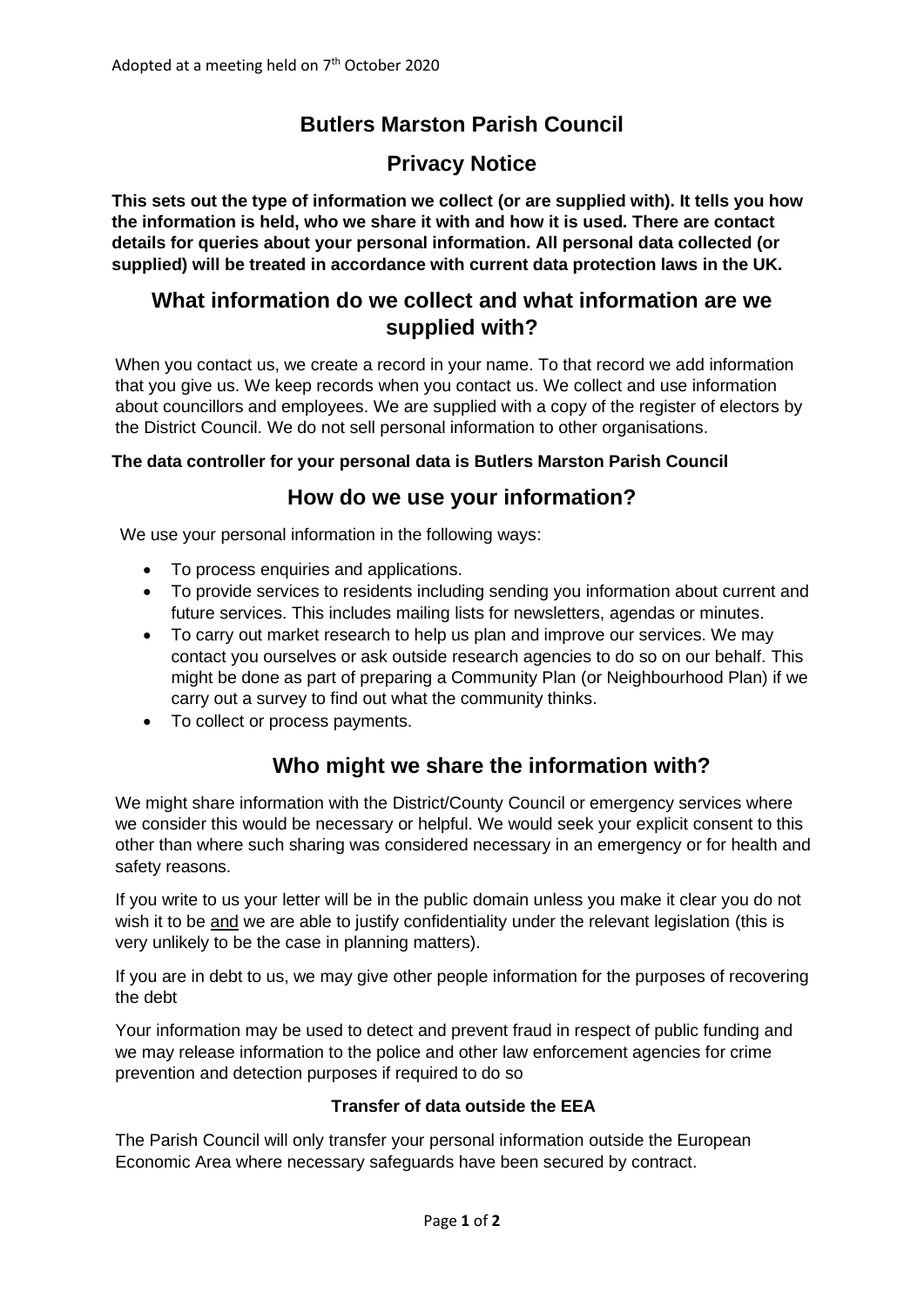# **Butlers Marston Parish Council**

## **Privacy Notice**

**This sets out the type of information we collect (or are supplied with). It tells you how the information is held, who we share it with and how it is used. There are contact details for queries about your personal information. All personal data collected (or supplied) will be treated in accordance with current data protection laws in the UK.**

### **What information do we collect and what information are we supplied with?**

When you contact us, we create a record in your name. To that record we add information that you give us. We keep records when you contact us. We collect and use information about councillors and employees. We are supplied with a copy of the register of electors by the District Council. We do not sell personal information to other organisations.

#### **The data controller for your personal data is Butlers Marston Parish Council**

#### **How do we use your information?**

We use your personal information in the following ways:

- To process enquiries and applications.
- To provide services to residents including sending you information about current and future services. This includes mailing lists for newsletters, agendas or minutes.
- To carry out market research to help us plan and improve our services. We may contact you ourselves or ask outside research agencies to do so on our behalf. This might be done as part of preparing a Community Plan (or Neighbourhood Plan) if we carry out a survey to find out what the community thinks.
- To collect or process payments.

## **Who might we share the information with?**

We might share information with the District/County Council or emergency services where we consider this would be necessary or helpful. We would seek your explicit consent to this other than where such sharing was considered necessary in an emergency or for health and safety reasons.

If you write to us your letter will be in the public domain unless you make it clear you do not wish it to be and we are able to justify confidentiality under the relevant legislation (this is very unlikely to be the case in planning matters).

If you are in debt to us, we may give other people information for the purposes of recovering the debt

Your information may be used to detect and prevent fraud in respect of public funding and we may release information to the police and other law enforcement agencies for crime prevention and detection purposes if required to do so

#### **Transfer of data outside the EEA**

The Parish Council will only transfer your personal information outside the European Economic Area where necessary safeguards have been secured by contract.